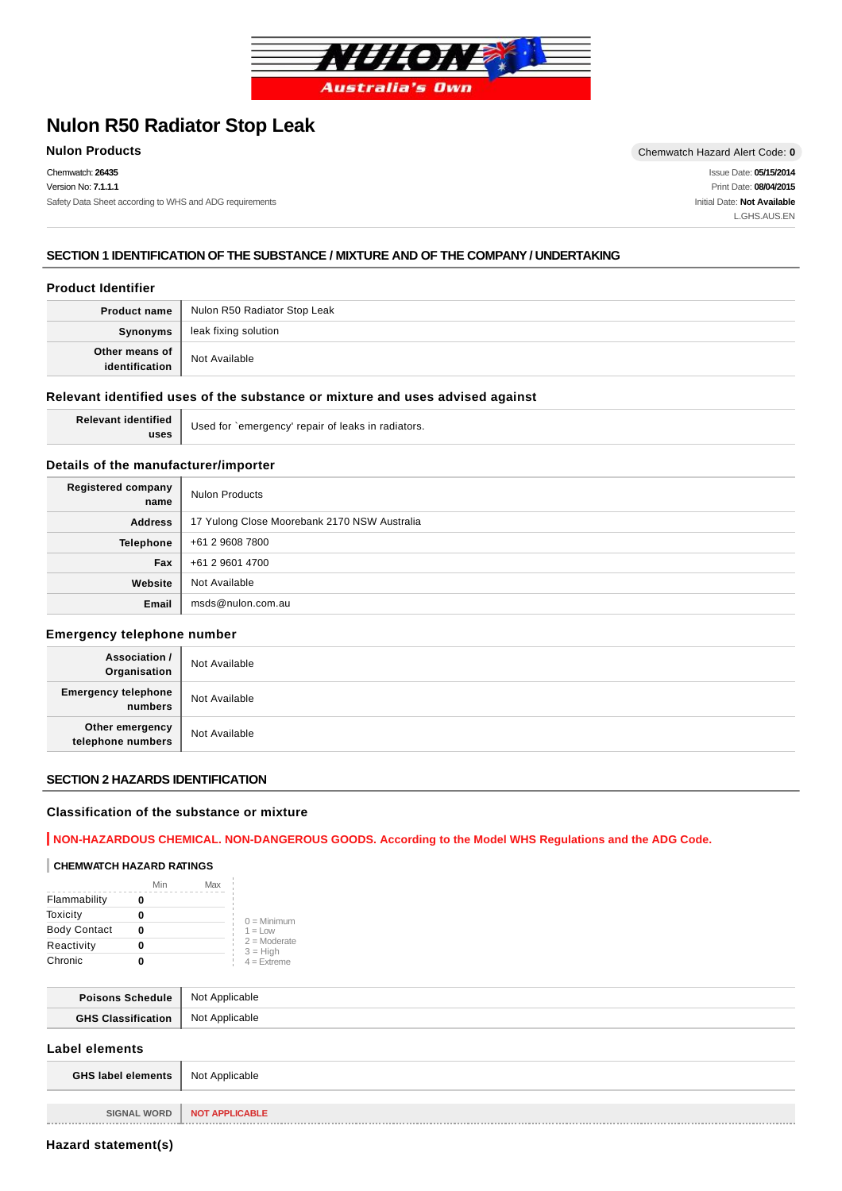

# **Nulon R50 Radiator Stop Leak**

Chemwatch: **26435** Version No: **7.1.1.1** Safety Data Sheet according to WHS and ADG requirements

**Nulon Products** Chemwatch Hazard Alert Code: **0** Issue Date: **05/15/2014**

Print Date: **08/04/2015** Initial Date: **Not Available** L.GHS.AUS.EN

## **SECTION 1 IDENTIFICATION OF THE SUBSTANCE / MIXTURE AND OF THE COMPANY / UNDERTAKING**

#### **Product Identifier**

| <b>Product name</b>              | Nulon R50 Radiator Stop Leak |
|----------------------------------|------------------------------|
| Synonyms                         | leak fixing solution         |
| Other means of<br>identification | Not Available                |

#### **Relevant identified uses of the substance or mixture and uses advised against**

**Relevant identified uses**

Used for `emergency' repair of leaks in radiators.

#### **Details of the manufacturer/importer**

| Registered company<br>name | <b>Nulon Products</b>                        |
|----------------------------|----------------------------------------------|
| <b>Address</b>             | 17 Yulong Close Moorebank 2170 NSW Australia |
| Telephone                  | +61 2 9608 7800                              |
| Fax                        | +61 2 9601 4700                              |
| Website                    | Not Available                                |
| Email                      | msds@nulon.com.au                            |

#### **Emergency telephone number**

| <b>Association /</b><br>Organisation  | Not Available |
|---------------------------------------|---------------|
| <b>Emergency telephone</b><br>numbers | Not Available |
| Other emergency<br>telephone numbers  | Not Available |

## **SECTION 2 HAZARDS IDENTIFICATION**

#### **Classification of the substance or mixture**

# **NON-HAZARDOUS CHEMICAL. NON-DANGEROUS GOODS. According to the Model WHS Regulations and the ADG Code.**

#### **CHEMWATCH HAZARD RATINGS**

|                     | Min | Max |                              |
|---------------------|-----|-----|------------------------------|
| Flammability        |     |     |                              |
| Toxicity            |     |     | $0 =$ Minimum                |
| <b>Body Contact</b> | 0   |     | $1 = 1$ OW                   |
| Reactivity          |     |     | $2 =$ Moderate<br>$3 = High$ |
| Chronic             |     |     | $4 =$ Extreme                |

| <b>Poisons Schedule</b>   | Not Applicable |
|---------------------------|----------------|
| <b>GHS Classification</b> | Not Applicable |

#### **Label elements**

| <b>GHS label elements</b> Not Applicable |                              |
|------------------------------------------|------------------------------|
|                                          |                              |
|                                          | SIGNAL WORD   NOT APPLICABLE |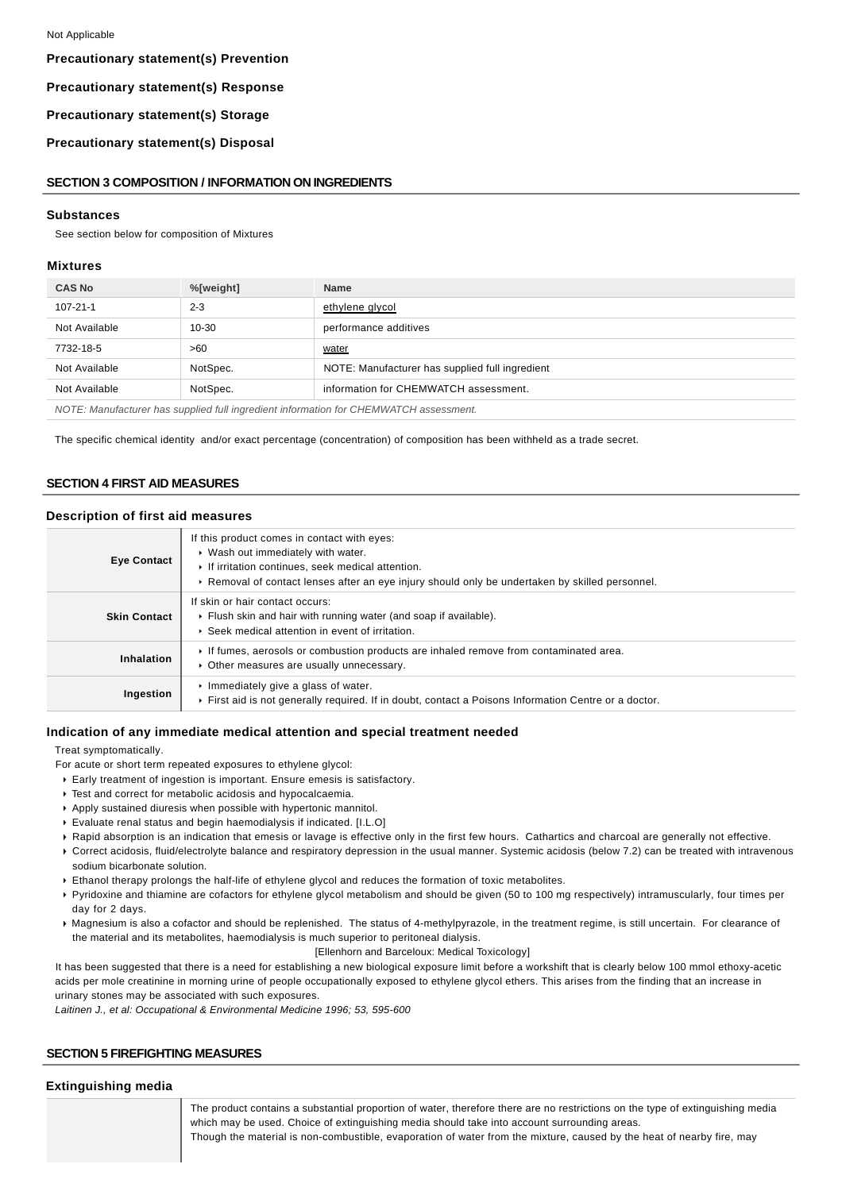## **Precautionary statement(s) Prevention**

#### **Precautionary statement(s) Response**

**Precautionary statement(s) Storage**

**Precautionary statement(s) Disposal**

#### **SECTION 3 COMPOSITION / INFORMATION ON INGREDIENTS**

#### **Substances**

See section below for composition of Mixtures

#### **Mixtures**

| <b>CAS No</b>                                                                         | %[weight] | <b>Name</b>                                     |
|---------------------------------------------------------------------------------------|-----------|-------------------------------------------------|
| $107 - 21 - 1$                                                                        | $2 - 3$   | ethylene glycol                                 |
| Not Available                                                                         | $10 - 30$ | performance additives                           |
| 7732-18-5                                                                             | >60       | water                                           |
| Not Available                                                                         | NotSpec.  | NOTE: Manufacturer has supplied full ingredient |
| Not Available                                                                         | NotSpec.  | information for CHEMWATCH assessment.           |
| NOTE: Manufacturer has supplied full ingredient information for CHEMWATCH assessment. |           |                                                 |

The specific chemical identity and/or exact percentage (concentration) of composition has been withheld as a trade secret.

#### **SECTION 4 FIRST AID MEASURES**

#### **Description of first aid measures**

| <b>Eye Contact</b>  | If this product comes in contact with eyes:<br>▶ Wash out immediately with water.<br>If irritation continues, seek medical attention.<br>► Removal of contact lenses after an eye injury should only be undertaken by skilled personnel. |
|---------------------|------------------------------------------------------------------------------------------------------------------------------------------------------------------------------------------------------------------------------------------|
| <b>Skin Contact</b> | If skin or hair contact occurs:<br>Flush skin and hair with running water (and soap if available).<br>▶ Seek medical attention in event of irritation.                                                                                   |
| Inhalation          | If fumes, aerosols or combustion products are inhaled remove from contaminated area.<br>• Other measures are usually unnecessary.                                                                                                        |
| Ingestion           | $\triangleright$ Immediately give a glass of water.<br>First aid is not generally required. If in doubt, contact a Poisons Information Centre or a doctor.                                                                               |

#### **Indication of any immediate medical attention and special treatment needed**

Treat symptomatically.

- For acute or short term repeated exposures to ethylene glycol:
- Early treatment of ingestion is important. Ensure emesis is satisfactory.
- Test and correct for metabolic acidosis and hypocalcaemia.
- Apply sustained diuresis when possible with hypertonic mannitol.
- Evaluate renal status and begin haemodialysis if indicated. [I.L.O]
- Rapid absorption is an indication that emesis or lavage is effective only in the first few hours. Cathartics and charcoal are generally not effective.
- Correct acidosis, fluid/electrolyte balance and respiratory depression in the usual manner. Systemic acidosis (below 7.2) can be treated with intravenous sodium bicarbonate solution.
- Ethanol therapy prolongs the half-life of ethylene glycol and reduces the formation of toxic metabolites.
- Pyridoxine and thiamine are cofactors for ethylene glycol metabolism and should be given (50 to 100 mg respectively) intramuscularly, four times per day for 2 days.
- Magnesium is also a cofactor and should be replenished. The status of 4-methylpyrazole, in the treatment regime, is still uncertain. For clearance of the material and its metabolites, haemodialysis is much superior to peritoneal dialysis.
	- [Ellenhorn and Barceloux: Medical Toxicology]

It has been suggested that there is a need for establishing a new biological exposure limit before a workshift that is clearly below 100 mmol ethoxy-acetic acids per mole creatinine in morning urine of people occupationally exposed to ethylene glycol ethers. This arises from the finding that an increase in urinary stones may be associated with such exposures.

Laitinen J., et al: Occupational & Environmental Medicine 1996; 53, 595-600

## **SECTION 5 FIREFIGHTING MEASURES**

#### **Extinguishing media**

The product contains a substantial proportion of water, therefore there are no restrictions on the type of extinguishing media which may be used. Choice of extinguishing media should take into account surrounding areas. Though the material is non-combustible, evaporation of water from the mixture, caused by the heat of nearby fire, may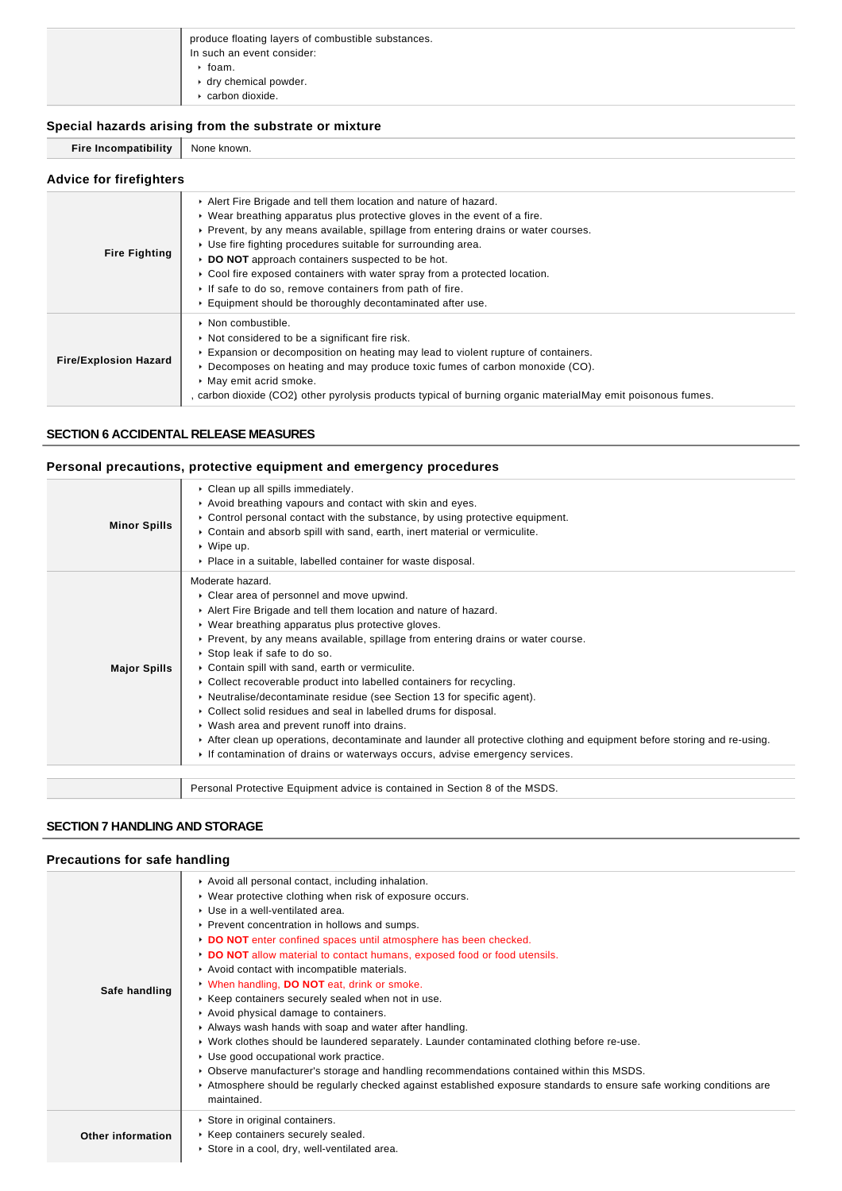| produce floating layers of combustible substances.<br>In such an event consider: |
|----------------------------------------------------------------------------------|
| $\cdot$ foam.                                                                    |
| $\cdot$ dry chemical powder.                                                     |
| carbon dioxide.                                                                  |

## **Special hazards arising from the substrate or mixture**

**Fire Incompatibility** None known.

| <b>Advice for firefighters</b> |                                                                                                                                                                                                                                                                                                                                                                                                                                                                                                                                                                           |  |
|--------------------------------|---------------------------------------------------------------------------------------------------------------------------------------------------------------------------------------------------------------------------------------------------------------------------------------------------------------------------------------------------------------------------------------------------------------------------------------------------------------------------------------------------------------------------------------------------------------------------|--|
| <b>Fire Fighting</b>           | Alert Fire Brigade and tell them location and nature of hazard.<br>$\triangleright$ Wear breathing apparatus plus protective gloves in the event of a fire.<br>▶ Prevent, by any means available, spillage from entering drains or water courses.<br>▶ Use fire fighting procedures suitable for surrounding area.<br>DO NOT approach containers suspected to be hot.<br>► Cool fire exposed containers with water spray from a protected location.<br>If safe to do so, remove containers from path of fire.<br>Equipment should be thoroughly decontaminated after use. |  |
| <b>Fire/Explosion Hazard</b>   | $\triangleright$ Non combustible.<br>• Not considered to be a significant fire risk.<br>Expansion or decomposition on heating may lead to violent rupture of containers.<br>► Decomposes on heating and may produce toxic fumes of carbon monoxide (CO).<br>May emit acrid smoke.<br>, carbon dioxide (CO2) other pyrolysis products typical of burning organic materialMay emit poisonous fumes.                                                                                                                                                                         |  |

## **SECTION 6 ACCIDENTAL RELEASE MEASURES**

## **Personal precautions, protective equipment and emergency procedures**

| <b>Minor Spills</b> | Clean up all spills immediately.<br>Avoid breathing vapours and contact with skin and eyes.<br>$\triangleright$ Control personal contact with the substance, by using protective equipment.<br>Contain and absorb spill with sand, earth, inert material or vermiculite.<br>$\cdot$ Wipe up.<br>• Place in a suitable, labelled container for waste disposal.                                                                                                                                                                                                                                                                                                                                                                                                                                                                                    |
|---------------------|--------------------------------------------------------------------------------------------------------------------------------------------------------------------------------------------------------------------------------------------------------------------------------------------------------------------------------------------------------------------------------------------------------------------------------------------------------------------------------------------------------------------------------------------------------------------------------------------------------------------------------------------------------------------------------------------------------------------------------------------------------------------------------------------------------------------------------------------------|
| <b>Major Spills</b> | Moderate hazard.<br>• Clear area of personnel and move upwind.<br>Alert Fire Brigade and tell them location and nature of hazard.<br>• Wear breathing apparatus plus protective gloves.<br>▶ Prevent, by any means available, spillage from entering drains or water course.<br>Stop leak if safe to do so.<br>• Contain spill with sand, earth or vermiculite.<br>• Collect recoverable product into labelled containers for recycling.<br>• Neutralise/decontaminate residue (see Section 13 for specific agent).<br>• Collect solid residues and seal in labelled drums for disposal.<br>• Wash area and prevent runoff into drains.<br>After clean up operations, decontaminate and launder all protective clothing and equipment before storing and re-using.<br>If contamination of drains or waterways occurs, advise emergency services. |
|                     | Personal Protective Equipment advice is contained in Section 8 of the MSDS.                                                                                                                                                                                                                                                                                                                                                                                                                                                                                                                                                                                                                                                                                                                                                                      |

## **SECTION 7 HANDLING AND STORAGE**

## **Precautions for safe handling**

| Avoid all personal contact, including inhalation.<br>• Wear protective clothing when risk of exposure occurs.<br>▶ Use in a well-ventilated area.<br>▶ Prevent concentration in hollows and sumps.<br>DO NOT enter confined spaces until atmosphere has been checked.<br>DO NOT allow material to contact humans, exposed food or food utensils.<br>Avoid contact with incompatible materials.<br>V When handling, DO NOT eat, drink or smoke.<br>▶ Keep containers securely sealed when not in use.<br>Avoid physical damage to containers.<br>Always wash hands with soap and water after handling.<br>► Work clothes should be laundered separately. Launder contaminated clothing before re-use.<br>Use good occupational work practice.<br>▶ Observe manufacturer's storage and handling recommendations contained within this MSDS.<br>► Atmosphere should be regularly checked against established exposure standards to ensure safe working conditions are<br>maintained. |
|-----------------------------------------------------------------------------------------------------------------------------------------------------------------------------------------------------------------------------------------------------------------------------------------------------------------------------------------------------------------------------------------------------------------------------------------------------------------------------------------------------------------------------------------------------------------------------------------------------------------------------------------------------------------------------------------------------------------------------------------------------------------------------------------------------------------------------------------------------------------------------------------------------------------------------------------------------------------------------------|
| Store in original containers.<br>▶ Keep containers securely sealed.<br>Store in a cool, dry, well-ventilated area.                                                                                                                                                                                                                                                                                                                                                                                                                                                                                                                                                                                                                                                                                                                                                                                                                                                                |
|                                                                                                                                                                                                                                                                                                                                                                                                                                                                                                                                                                                                                                                                                                                                                                                                                                                                                                                                                                                   |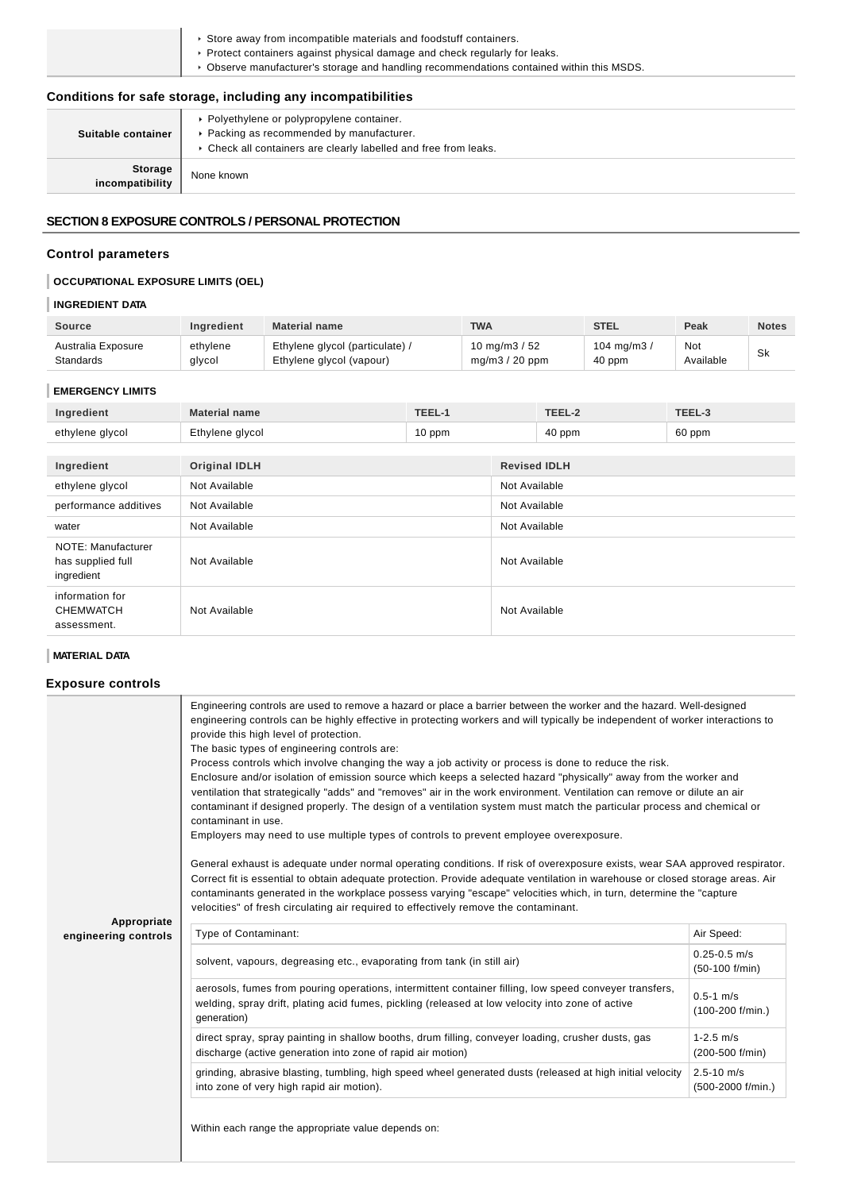| Store away from incompatible materials and foodstuff containers.<br>$\blacktriangleright$ Protect containers against physical damage and check regularly for leaks. |
|---------------------------------------------------------------------------------------------------------------------------------------------------------------------|
| • Observe manufacturer's storage and handling recommendations contained within this MSDS.                                                                           |
| Conditions for safe storage including any incompatibilities                                                                                                         |

| Conditions for safe storage, including any incompatibilities |                                                                                                                                                             |  |
|--------------------------------------------------------------|-------------------------------------------------------------------------------------------------------------------------------------------------------------|--|
| Suitable container                                           | • Polyethylene or polypropylene container.<br>▶ Packing as recommended by manufacturer.<br>• Check all containers are clearly labelled and free from leaks. |  |
| <b>Storage</b><br>incompatibility                            | None known                                                                                                                                                  |  |

## **SECTION 8 EXPOSURE CONTROLS / PERSONAL PROTECTION**

## **Control parameters**

# **OCCUPATIONAL EXPOSURE LIMITS (OEL)**

## **INGREDIENT DATA**

| <b>Source</b>      | <b>Ingredient</b> | <b>Material name</b>          | <b>TWA</b>       | <b>STEL</b>   | Peak      | <b>Notes</b> |
|--------------------|-------------------|-------------------------------|------------------|---------------|-----------|--------------|
| Australia Exposure | ethvlene          | Ethylene glycol (particulate) | 10 mg/m3 / 52    | 104 mg/m $3/$ | Not       | <b>Sk</b>    |
| Standards          | glycol            | Ethylene glycol (vapour)      | $mq/m3 / 20$ ppm | 40 ppm        | Available |              |

## **EMERGENCY LIMITS**

| Ingredient                                            | <b>Material name</b>        | TEEL-1 |               | TEEL-2              | TEEL-3 |
|-------------------------------------------------------|-----------------------------|--------|---------------|---------------------|--------|
| ethylene glycol                                       | Ethylene glycol<br>$10$ ppm |        |               | 40 ppm              | 60 ppm |
|                                                       |                             |        |               |                     |        |
| Ingredient                                            | <b>Original IDLH</b>        |        |               | <b>Revised IDLH</b> |        |
| ethylene glycol                                       | Not Available               |        | Not Available |                     |        |
| performance additives                                 | Not Available               |        | Not Available |                     |        |
| water                                                 | Not Available               |        | Not Available |                     |        |
| NOTE: Manufacturer<br>has supplied full<br>ingredient | Not Available               |        | Not Available |                     |        |

Not Available Not Available

## **MATERIAL DATA**

information for CHEMWATCH assessment.

## **Exposure controls**

|                                     | Engineering controls are used to remove a hazard or place a barrier between the worker and the hazard. Well-designed<br>engineering controls can be highly effective in protecting workers and will typically be independent of worker interactions to<br>provide this high level of protection.<br>The basic types of engineering controls are:<br>Process controls which involve changing the way a job activity or process is done to reduce the risk.<br>Enclosure and/or isolation of emission source which keeps a selected hazard "physically" away from the worker and<br>ventilation that strategically "adds" and "removes" air in the work environment. Ventilation can remove or dilute an air<br>contaminant if designed properly. The design of a ventilation system must match the particular process and chemical or<br>contaminant in use.<br>Employers may need to use multiple types of controls to prevent employee overexposure.<br>General exhaust is adequate under normal operating conditions. If risk of overexposure exists, wear SAA approved respirator.<br>Correct fit is essential to obtain adequate protection. Provide adequate ventilation in warehouse or closed storage areas. Air<br>contaminants generated in the workplace possess varying "escape" velocities which, in turn, determine the "capture"<br>velocities" of fresh circulating air required to effectively remove the contaminant. |                                       |  |  |
|-------------------------------------|----------------------------------------------------------------------------------------------------------------------------------------------------------------------------------------------------------------------------------------------------------------------------------------------------------------------------------------------------------------------------------------------------------------------------------------------------------------------------------------------------------------------------------------------------------------------------------------------------------------------------------------------------------------------------------------------------------------------------------------------------------------------------------------------------------------------------------------------------------------------------------------------------------------------------------------------------------------------------------------------------------------------------------------------------------------------------------------------------------------------------------------------------------------------------------------------------------------------------------------------------------------------------------------------------------------------------------------------------------------------------------------------------------------------------------------|---------------------------------------|--|--|
| Appropriate<br>engineering controls | Type of Contaminant:                                                                                                                                                                                                                                                                                                                                                                                                                                                                                                                                                                                                                                                                                                                                                                                                                                                                                                                                                                                                                                                                                                                                                                                                                                                                                                                                                                                                                   | Air Speed:                            |  |  |
|                                     | solvent, vapours, degreasing etc., evaporating from tank (in still air)                                                                                                                                                                                                                                                                                                                                                                                                                                                                                                                                                                                                                                                                                                                                                                                                                                                                                                                                                                                                                                                                                                                                                                                                                                                                                                                                                                | $0.25 - 0.5$ m/s<br>$(50-100)$ f/min) |  |  |
|                                     | aerosols, fumes from pouring operations, intermittent container filling, low speed conveyer transfers,<br>welding, spray drift, plating acid fumes, pickling (released at low velocity into zone of active<br>generation)                                                                                                                                                                                                                                                                                                                                                                                                                                                                                                                                                                                                                                                                                                                                                                                                                                                                                                                                                                                                                                                                                                                                                                                                              | $0.5 - 1$ m/s<br>(100-200 f/min.)     |  |  |
|                                     | direct spray, spray painting in shallow booths, drum filling, conveyer loading, crusher dusts, gas<br>discharge (active generation into zone of rapid air motion)                                                                                                                                                                                                                                                                                                                                                                                                                                                                                                                                                                                                                                                                                                                                                                                                                                                                                                                                                                                                                                                                                                                                                                                                                                                                      | $1 - 2.5$ m/s<br>(200-500 f/min)      |  |  |
|                                     | grinding, abrasive blasting, tumbling, high speed wheel generated dusts (released at high initial velocity<br>into zone of very high rapid air motion).                                                                                                                                                                                                                                                                                                                                                                                                                                                                                                                                                                                                                                                                                                                                                                                                                                                                                                                                                                                                                                                                                                                                                                                                                                                                                | $2.5 - 10$ m/s<br>(500-2000 f/min.)   |  |  |
|                                     | Within each range the appropriate value depends on:                                                                                                                                                                                                                                                                                                                                                                                                                                                                                                                                                                                                                                                                                                                                                                                                                                                                                                                                                                                                                                                                                                                                                                                                                                                                                                                                                                                    |                                       |  |  |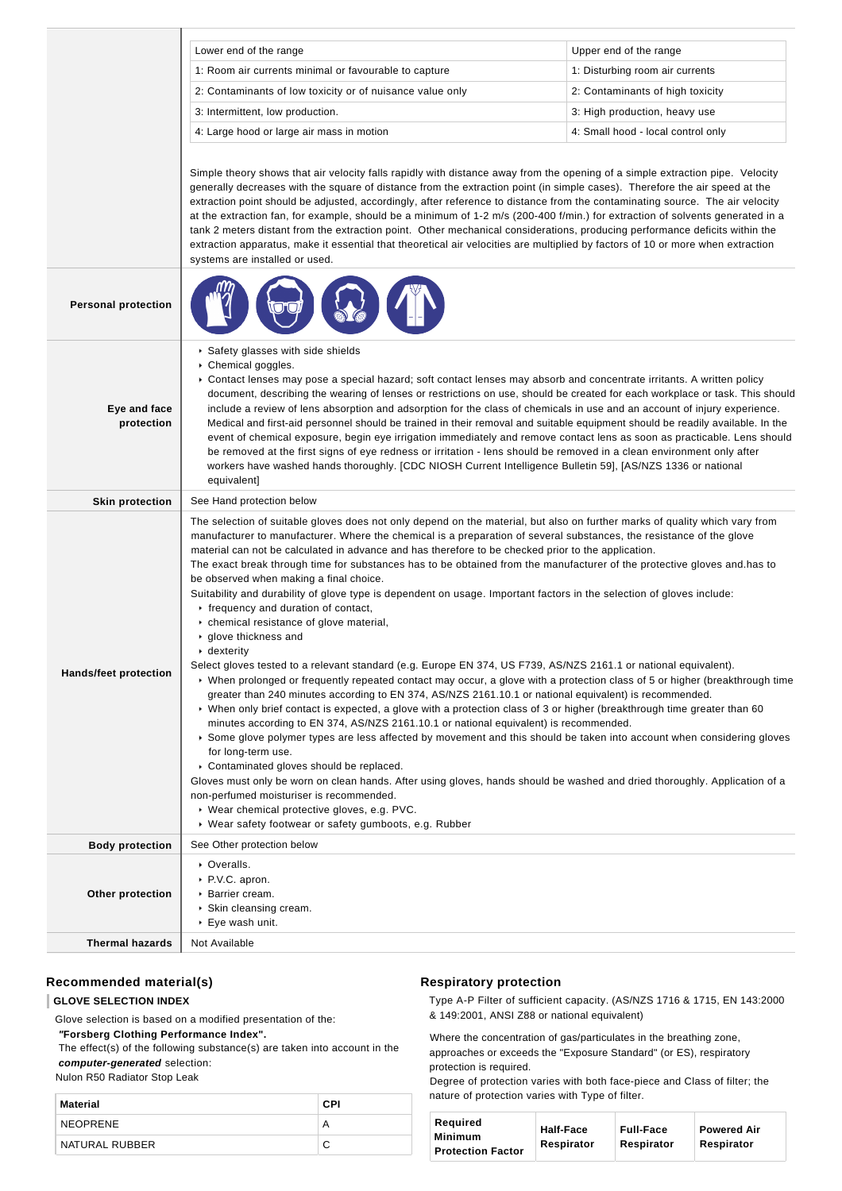|                            | Lower end of the range                                                                                                                                                                                                                                                                                                                                                                                                                                                                                                                                                                                                                                                                                                                                                                                                                                                                                                                                                                                                                                                                                                                                                                                                                                                                                                                                                                                                                                                                                                                                                                                                                                                                                                                                                                              | Upper end of the range             |  |
|----------------------------|-----------------------------------------------------------------------------------------------------------------------------------------------------------------------------------------------------------------------------------------------------------------------------------------------------------------------------------------------------------------------------------------------------------------------------------------------------------------------------------------------------------------------------------------------------------------------------------------------------------------------------------------------------------------------------------------------------------------------------------------------------------------------------------------------------------------------------------------------------------------------------------------------------------------------------------------------------------------------------------------------------------------------------------------------------------------------------------------------------------------------------------------------------------------------------------------------------------------------------------------------------------------------------------------------------------------------------------------------------------------------------------------------------------------------------------------------------------------------------------------------------------------------------------------------------------------------------------------------------------------------------------------------------------------------------------------------------------------------------------------------------------------------------------------------------|------------------------------------|--|
|                            | 1: Room air currents minimal or favourable to capture                                                                                                                                                                                                                                                                                                                                                                                                                                                                                                                                                                                                                                                                                                                                                                                                                                                                                                                                                                                                                                                                                                                                                                                                                                                                                                                                                                                                                                                                                                                                                                                                                                                                                                                                               | 1: Disturbing room air currents    |  |
|                            | 2: Contaminants of low toxicity or of nuisance value only                                                                                                                                                                                                                                                                                                                                                                                                                                                                                                                                                                                                                                                                                                                                                                                                                                                                                                                                                                                                                                                                                                                                                                                                                                                                                                                                                                                                                                                                                                                                                                                                                                                                                                                                           | 2: Contaminants of high toxicity   |  |
|                            | 3: Intermittent, low production.                                                                                                                                                                                                                                                                                                                                                                                                                                                                                                                                                                                                                                                                                                                                                                                                                                                                                                                                                                                                                                                                                                                                                                                                                                                                                                                                                                                                                                                                                                                                                                                                                                                                                                                                                                    | 3: High production, heavy use      |  |
|                            | 4: Large hood or large air mass in motion                                                                                                                                                                                                                                                                                                                                                                                                                                                                                                                                                                                                                                                                                                                                                                                                                                                                                                                                                                                                                                                                                                                                                                                                                                                                                                                                                                                                                                                                                                                                                                                                                                                                                                                                                           | 4: Small hood - local control only |  |
|                            |                                                                                                                                                                                                                                                                                                                                                                                                                                                                                                                                                                                                                                                                                                                                                                                                                                                                                                                                                                                                                                                                                                                                                                                                                                                                                                                                                                                                                                                                                                                                                                                                                                                                                                                                                                                                     |                                    |  |
|                            | Simple theory shows that air velocity falls rapidly with distance away from the opening of a simple extraction pipe. Velocity<br>generally decreases with the square of distance from the extraction point (in simple cases). Therefore the air speed at the<br>extraction point should be adjusted, accordingly, after reference to distance from the contaminating source. The air velocity<br>at the extraction fan, for example, should be a minimum of 1-2 m/s (200-400 f/min.) for extraction of solvents generated in a<br>tank 2 meters distant from the extraction point. Other mechanical considerations, producing performance deficits within the<br>extraction apparatus, make it essential that theoretical air velocities are multiplied by factors of 10 or more when extraction<br>systems are installed or used.                                                                                                                                                                                                                                                                                                                                                                                                                                                                                                                                                                                                                                                                                                                                                                                                                                                                                                                                                                  |                                    |  |
| <b>Personal protection</b> |                                                                                                                                                                                                                                                                                                                                                                                                                                                                                                                                                                                                                                                                                                                                                                                                                                                                                                                                                                                                                                                                                                                                                                                                                                                                                                                                                                                                                                                                                                                                                                                                                                                                                                                                                                                                     |                                    |  |
| Eye and face<br>protection | Safety glasses with side shields<br>Chemical goggles.<br>► Contact lenses may pose a special hazard; soft contact lenses may absorb and concentrate irritants. A written policy<br>document, describing the wearing of lenses or restrictions on use, should be created for each workplace or task. This should<br>include a review of lens absorption and adsorption for the class of chemicals in use and an account of injury experience.<br>Medical and first-aid personnel should be trained in their removal and suitable equipment should be readily available. In the<br>event of chemical exposure, begin eye irrigation immediately and remove contact lens as soon as practicable. Lens should<br>be removed at the first signs of eye redness or irritation - lens should be removed in a clean environment only after<br>workers have washed hands thoroughly. [CDC NIOSH Current Intelligence Bulletin 59], [AS/NZS 1336 or national<br>equivalent]                                                                                                                                                                                                                                                                                                                                                                                                                                                                                                                                                                                                                                                                                                                                                                                                                                   |                                    |  |
|                            | See Hand protection below                                                                                                                                                                                                                                                                                                                                                                                                                                                                                                                                                                                                                                                                                                                                                                                                                                                                                                                                                                                                                                                                                                                                                                                                                                                                                                                                                                                                                                                                                                                                                                                                                                                                                                                                                                           |                                    |  |
| <b>Skin protection</b>     |                                                                                                                                                                                                                                                                                                                                                                                                                                                                                                                                                                                                                                                                                                                                                                                                                                                                                                                                                                                                                                                                                                                                                                                                                                                                                                                                                                                                                                                                                                                                                                                                                                                                                                                                                                                                     |                                    |  |
| Hands/feet protection      | The selection of suitable gloves does not only depend on the material, but also on further marks of quality which vary from<br>manufacturer to manufacturer. Where the chemical is a preparation of several substances, the resistance of the glove<br>material can not be calculated in advance and has therefore to be checked prior to the application.<br>The exact break through time for substances has to be obtained from the manufacturer of the protective gloves and has to<br>be observed when making a final choice.<br>Suitability and durability of glove type is dependent on usage. Important factors in the selection of gloves include:<br>Firequency and duration of contact,<br>• chemical resistance of glove material,<br>▶ glove thickness and<br>$\cdot$ dexterity<br>Select gloves tested to a relevant standard (e.g. Europe EN 374, US F739, AS/NZS 2161.1 or national equivalent).<br>▶ When prolonged or frequently repeated contact may occur, a glove with a protection class of 5 or higher (breakthrough time<br>greater than 240 minutes according to EN 374, AS/NZS 2161.10.1 or national equivalent) is recommended.<br>▶ When only brief contact is expected, a glove with a protection class of 3 or higher (breakthrough time greater than 60<br>minutes according to EN 374, AS/NZS 2161.10.1 or national equivalent) is recommended.<br>▶ Some glove polymer types are less affected by movement and this should be taken into account when considering gloves<br>for long-term use.<br>Contaminated gloves should be replaced.<br>Gloves must only be worn on clean hands. After using gloves, hands should be washed and dried thoroughly. Application of a<br>non-perfumed moisturiser is recommended.<br>▶ Wear chemical protective gloves, e.g. PVC. |                                    |  |
|                            | ▶ Wear safety footwear or safety gumboots, e.g. Rubber                                                                                                                                                                                                                                                                                                                                                                                                                                                                                                                                                                                                                                                                                                                                                                                                                                                                                                                                                                                                                                                                                                                                                                                                                                                                                                                                                                                                                                                                                                                                                                                                                                                                                                                                              |                                    |  |
| <b>Body protection</b>     | See Other protection below                                                                                                                                                                                                                                                                                                                                                                                                                                                                                                                                                                                                                                                                                                                                                                                                                                                                                                                                                                                                                                                                                                                                                                                                                                                                                                                                                                                                                                                                                                                                                                                                                                                                                                                                                                          |                                    |  |
| Other protection           | ▶ Overalls.<br>▶ P.V.C. apron.<br>▶ Barrier cream.<br>▶ Skin cleansing cream.<br>▶ Eye wash unit.                                                                                                                                                                                                                                                                                                                                                                                                                                                                                                                                                                                                                                                                                                                                                                                                                                                                                                                                                                                                                                                                                                                                                                                                                                                                                                                                                                                                                                                                                                                                                                                                                                                                                                   |                                    |  |

## **Recommended material(s)**

#### **GLOVE SELECTION INDEX**

Glove selection is based on a modified presentation of the:

 **"Forsberg Clothing Performance Index".**

 The effect(s) of the following substance(s) are taken into account in the **computer-generated** selection:

Nulon R50 Radiator Stop Leak

| Material       | CPI |
|----------------|-----|
| NEOPRENE       | А   |
| NATURAL RUBBER |     |

## **Respiratory protection**

Type A-P Filter of sufficient capacity. (AS/NZS 1716 & 1715, EN 143:2000 & 149:2001, ANSI Z88 or national equivalent)

Where the concentration of gas/particulates in the breathing zone, approaches or exceeds the "Exposure Standard" (or ES), respiratory protection is required.

Degree of protection varies with both face-piece and Class of filter; the nature of protection varies with Type of filter.

| Required                 |                  |                  |                    |
|--------------------------|------------------|------------------|--------------------|
| <b>Minimum</b>           | <b>Half-Face</b> | <b>Full-Face</b> | <b>Powered Air</b> |
| <b>Protection Factor</b> | Respirator       | Respirator       | Respirator         |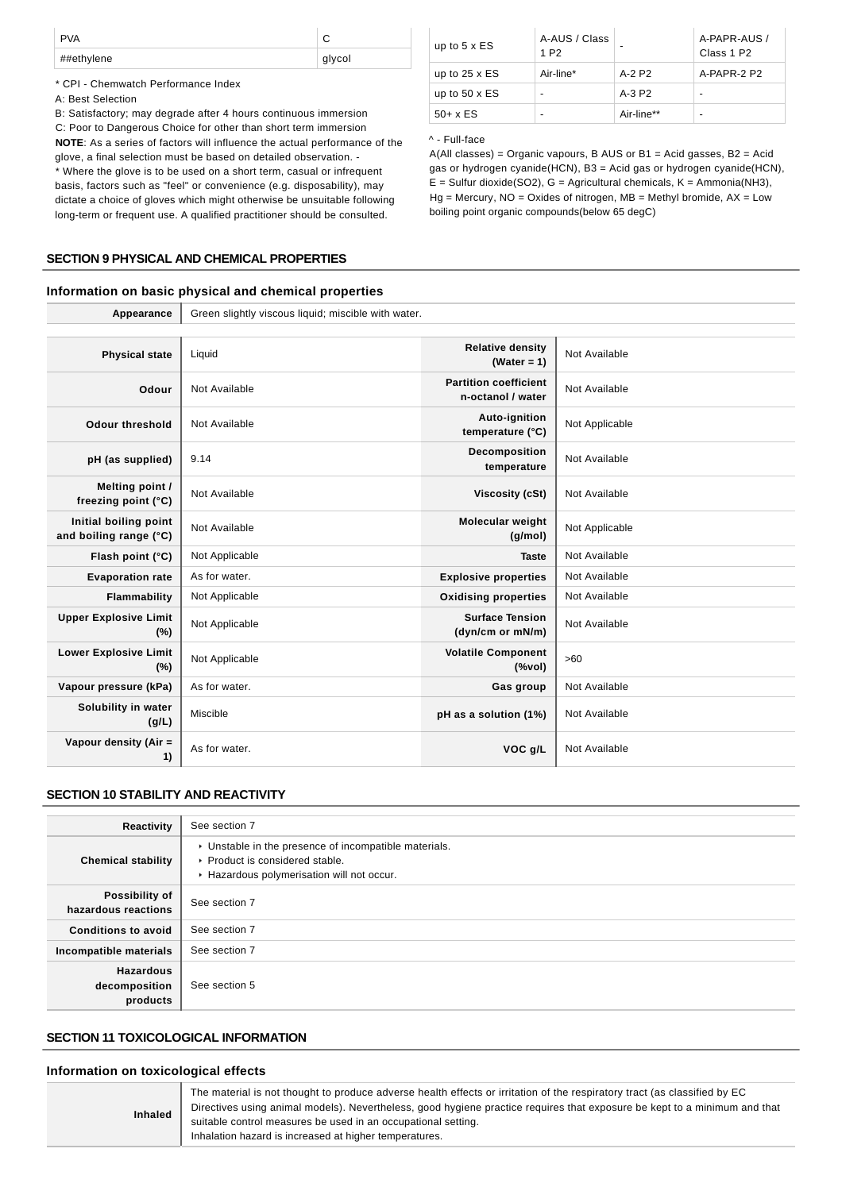| <b>PVA</b> |        |
|------------|--------|
| ##ethylene | glycol |

\* CPI - Chemwatch Performance Index

#### A: Best Selection

B: Satisfactory; may degrade after 4 hours continuous immersion

C: Poor to Dangerous Choice for other than short term immersion **NOTE**: As a series of factors will influence the actual performance of the glove, a final selection must be based on detailed observation. - \* Where the glove is to be used on a short term, casual or infrequent basis, factors such as "feel" or convenience (e.g. disposability), may

dictate a choice of gloves which might otherwise be unsuitable following long-term or frequent use. A qualified practitioner should be consulted.

#### **SECTION 9 PHYSICAL AND CHEMICAL PROPERTIES**

## **Information on basic physical and chemical properties**

**Appearance** Green slightly viscous liquid; miscible with water.

| up to $5 \times ES$  | A-AUS / Class<br>1 P <sub>2</sub> | $\overline{\phantom{a}}$ | A-PAPR-AUS /<br>Class 1 P <sub>2</sub> |
|----------------------|-----------------------------------|--------------------------|----------------------------------------|
| up to $25 \times ES$ | Air-line*                         | A-2 P2                   | A-PAPR-2 P2                            |
| up to $50 \times ES$ | $\overline{\phantom{0}}$          | $A-3P2$                  |                                        |
| $50+ x ES$           | $\overline{\phantom{0}}$          | Air-line**               | -                                      |

^ - Full-face

A(All classes) = Organic vapours, B AUS or B1 = Acid gasses, B2 = Acid gas or hydrogen cyanide(HCN), B3 = Acid gas or hydrogen cyanide(HCN),  $E =$  Sulfur dioxide(SO2), G = Agricultural chemicals, K = Ammonia(NH3),  $Hg =$  Mercury, NO = Oxides of nitrogen, MB = Methyl bromide, AX = Low boiling point organic compounds(below 65 degC)

| <b>Appearance</b>                               |                |                                                    |                |
|-------------------------------------------------|----------------|----------------------------------------------------|----------------|
|                                                 |                |                                                    |                |
| <b>Physical state</b>                           | Liquid         | <b>Relative density</b><br>(Water = $1$ )          | Not Available  |
| Odour                                           | Not Available  | <b>Partition coefficient</b><br>n-octanol / water  | Not Available  |
| <b>Odour threshold</b>                          | Not Available  | Auto-ignition<br>temperature (°C)                  | Not Applicable |
| pH (as supplied)                                | 9.14           | Decomposition<br>temperature                       | Not Available  |
| Melting point /<br>freezing point (°C)          | Not Available  | <b>Viscosity (cSt)</b>                             | Not Available  |
| Initial boiling point<br>and boiling range (°C) | Not Available  | <b>Molecular weight</b><br>(q/mol)                 | Not Applicable |
| Flash point (°C)                                | Not Applicable | <b>Taste</b>                                       | Not Available  |
| <b>Evaporation rate</b>                         | As for water.  | <b>Explosive properties</b>                        | Not Available  |
| Flammability                                    | Not Applicable | <b>Oxidising properties</b>                        | Not Available  |
| <b>Upper Explosive Limit</b><br>(%)             | Not Applicable | <b>Surface Tension</b><br>(dyn/cm or mN/m)         | Not Available  |
| <b>Lower Explosive Limit</b><br>$(\%)$          | Not Applicable | <b>Volatile Component</b><br>$(% \mathcal{L}_{0})$ | >60            |
| Vapour pressure (kPa)                           | As for water.  | Gas group                                          | Not Available  |
| Solubility in water<br>(g/L)                    | Miscible       | pH as a solution (1%)                              | Not Available  |
| Vapour density (Air =<br>1)                     | As for water.  | VOC g/L                                            | Not Available  |

#### **SECTION 10 STABILITY AND REACTIVITY**

| Reactivity                                    | See section 7                                                                                                                        |
|-----------------------------------------------|--------------------------------------------------------------------------------------------------------------------------------------|
| <b>Chemical stability</b>                     | • Unstable in the presence of incompatible materials.<br>▶ Product is considered stable.<br>Hazardous polymerisation will not occur. |
| Possibility of<br>hazardous reactions         | See section 7                                                                                                                        |
| <b>Conditions to avoid</b>                    | See section 7                                                                                                                        |
| Incompatible materials                        | See section 7                                                                                                                        |
| <b>Hazardous</b><br>decomposition<br>products | See section 5                                                                                                                        |

## **SECTION 11 TOXICOLOGICAL INFORMATION**

#### **Information on toxicological effects**

| <b>Inhaled</b> | The material is not thought to produce adverse health effects or irritation of the respiratory tract (as classified by EC<br>Directives using animal models). Nevertheless, good hygiene practice requires that exposure be kept to a minimum and that<br>suitable control measures be used in an occupational setting.<br>Inhalation hazard is increased at higher temperatures. |
|----------------|-----------------------------------------------------------------------------------------------------------------------------------------------------------------------------------------------------------------------------------------------------------------------------------------------------------------------------------------------------------------------------------|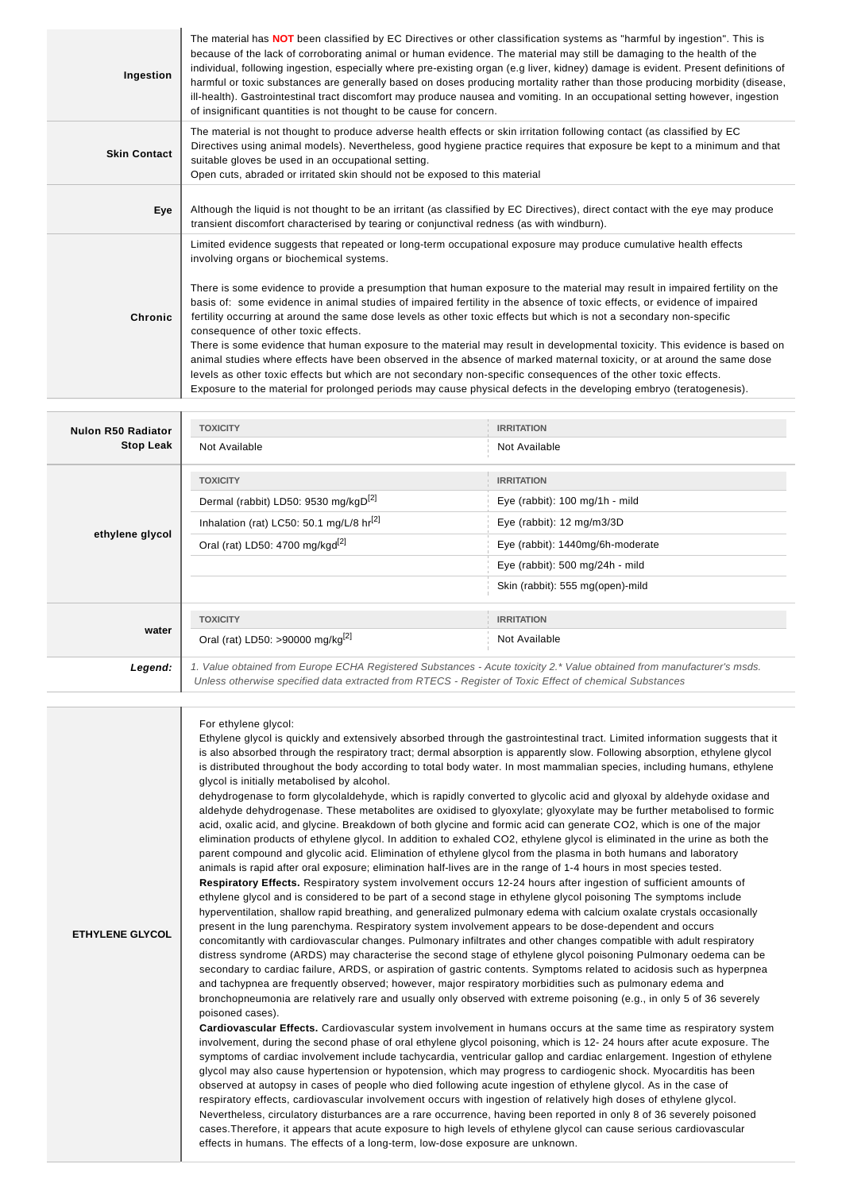| Ingestion           | The material has <b>NOT</b> been classified by EC Directives or other classification systems as "harmful by ingestion". This is<br>because of the lack of corroborating animal or human evidence. The material may still be damaging to the health of the<br>individual, following ingestion, especially where pre-existing organ (e.g liver, kidney) damage is evident. Present definitions of<br>harmful or toxic substances are generally based on doses producing mortality rather than those producing morbidity (disease,<br>ill-health). Gastrointestinal tract discomfort may produce nausea and vomiting. In an occupational setting however, ingestion<br>of insignificant quantities is not thought to be cause for concern.                                                                                                                                                                                                                                                                                                                                                 |
|---------------------|-----------------------------------------------------------------------------------------------------------------------------------------------------------------------------------------------------------------------------------------------------------------------------------------------------------------------------------------------------------------------------------------------------------------------------------------------------------------------------------------------------------------------------------------------------------------------------------------------------------------------------------------------------------------------------------------------------------------------------------------------------------------------------------------------------------------------------------------------------------------------------------------------------------------------------------------------------------------------------------------------------------------------------------------------------------------------------------------|
| <b>Skin Contact</b> | The material is not thought to produce adverse health effects or skin irritation following contact (as classified by EC<br>Directives using animal models). Nevertheless, good hygiene practice requires that exposure be kept to a minimum and that<br>suitable gloves be used in an occupational setting.<br>Open cuts, abraded or irritated skin should not be exposed to this material                                                                                                                                                                                                                                                                                                                                                                                                                                                                                                                                                                                                                                                                                              |
| Eye                 | Although the liquid is not thought to be an irritant (as classified by EC Directives), direct contact with the eye may produce<br>transient discomfort characterised by tearing or conjunctival redness (as with windburn).                                                                                                                                                                                                                                                                                                                                                                                                                                                                                                                                                                                                                                                                                                                                                                                                                                                             |
| Chronic             | Limited evidence suggests that repeated or long-term occupational exposure may produce cumulative health effects<br>involving organs or biochemical systems.<br>There is some evidence to provide a presumption that human exposure to the material may result in impaired fertility on the<br>basis of: some evidence in animal studies of impaired fertility in the absence of toxic effects, or evidence of impaired<br>fertility occurring at around the same dose levels as other toxic effects but which is not a secondary non-specific<br>consequence of other toxic effects.<br>There is some evidence that human exposure to the material may result in developmental toxicity. This evidence is based on<br>animal studies where effects have been observed in the absence of marked maternal toxicity, or at around the same dose<br>levels as other toxic effects but which are not secondary non-specific consequences of the other toxic effects.<br>Exposure to the material for prolonged periods may cause physical defects in the developing embryo (teratogenesis). |

| <b>Nulon R50 Radiator</b> | <b>TOXICITY</b>                                                                                                        | <b>IRRITATION</b>                   |
|---------------------------|------------------------------------------------------------------------------------------------------------------------|-------------------------------------|
| <b>Stop Leak</b>          | Not Available                                                                                                          | Not Available                       |
|                           | <b>TOXICITY</b>                                                                                                        | <b>IRRITATION</b>                   |
|                           | Dermal (rabbit) LD50: 9530 mg/kgD <sup>[2]</sup>                                                                       | Eye (rabbit): 100 mg/1h - mild      |
|                           | Inhalation (rat) LC50: 50.1 mg/L/8 $hr^{\left[2\right]}$                                                               | Eye (rabbit): $12 \text{ mg/m}3/3D$ |
| ethylene glycol           | Oral (rat) LD50: 4700 mg/kgd <sup>[2]</sup>                                                                            | Eye (rabbit): 1440mg/6h-moderate    |
|                           |                                                                                                                        | Eye (rabbit): 500 mg/24h - mild     |
|                           |                                                                                                                        | Skin (rabbit): 555 mg(open)-mild    |
| water                     | <b>TOXICITY</b>                                                                                                        | <b>IRRITATION</b>                   |
|                           | Oral (rat) LD50: >90000 mg/kg <sup>[2]</sup>                                                                           | Not Available                       |
| Legend:                   | 1. Value obtained from Europe ECHA Registered Substances - Acute toxicity 2.* Value obtained from manufacturer's msds. |                                     |

Unless otherwise specified data extracted from RTECS - Register of Toxic Effect of chemical Substances

#### For ethylene glycol:

Ethylene glycol is quickly and extensively absorbed through the gastrointestinal tract. Limited information suggests that it is also absorbed through the respiratory tract; dermal absorption is apparently slow. Following absorption, ethylene glycol is distributed throughout the body according to total body water. In most mammalian species, including humans, ethylene glycol is initially metabolised by alcohol.

dehydrogenase to form glycolaldehyde, which is rapidly converted to glycolic acid and glyoxal by aldehyde oxidase and aldehyde dehydrogenase. These metabolites are oxidised to glyoxylate; glyoxylate may be further metabolised to formic acid, oxalic acid, and glycine. Breakdown of both glycine and formic acid can generate CO2, which is one of the major elimination products of ethylene glycol. In addition to exhaled CO2, ethylene glycol is eliminated in the urine as both the parent compound and glycolic acid. Elimination of ethylene glycol from the plasma in both humans and laboratory animals is rapid after oral exposure; elimination half-lives are in the range of 1-4 hours in most species tested. **Respiratory Effects.** Respiratory system involvement occurs 12-24 hours after ingestion of sufficient amounts of ethylene glycol and is considered to be part of a second stage in ethylene glycol poisoning The symptoms include hyperventilation, shallow rapid breathing, and generalized pulmonary edema with calcium oxalate crystals occasionally

#### **ETHYLENE GLYCOL**

present in the lung parenchyma. Respiratory system involvement appears to be dose-dependent and occurs concomitantly with cardiovascular changes. Pulmonary infiltrates and other changes compatible with adult respiratory distress syndrome (ARDS) may characterise the second stage of ethylene glycol poisoning Pulmonary oedema can be secondary to cardiac failure, ARDS, or aspiration of gastric contents. Symptoms related to acidosis such as hyperpnea and tachypnea are frequently observed; however, major respiratory morbidities such as pulmonary edema and bronchopneumonia are relatively rare and usually only observed with extreme poisoning (e.g., in only 5 of 36 severely poisoned cases).

**Cardiovascular Effects.** Cardiovascular system involvement in humans occurs at the same time as respiratory system involvement, during the second phase of oral ethylene glycol poisoning, which is 12- 24 hours after acute exposure. The symptoms of cardiac involvement include tachycardia, ventricular gallop and cardiac enlargement. Ingestion of ethylene glycol may also cause hypertension or hypotension, which may progress to cardiogenic shock. Myocarditis has been observed at autopsy in cases of people who died following acute ingestion of ethylene glycol. As in the case of respiratory effects, cardiovascular involvement occurs with ingestion of relatively high doses of ethylene glycol. Nevertheless, circulatory disturbances are a rare occurrence, having been reported in only 8 of 36 severely poisoned cases.Therefore, it appears that acute exposure to high levels of ethylene glycol can cause serious cardiovascular effects in humans. The effects of a long-term, low-dose exposure are unknown.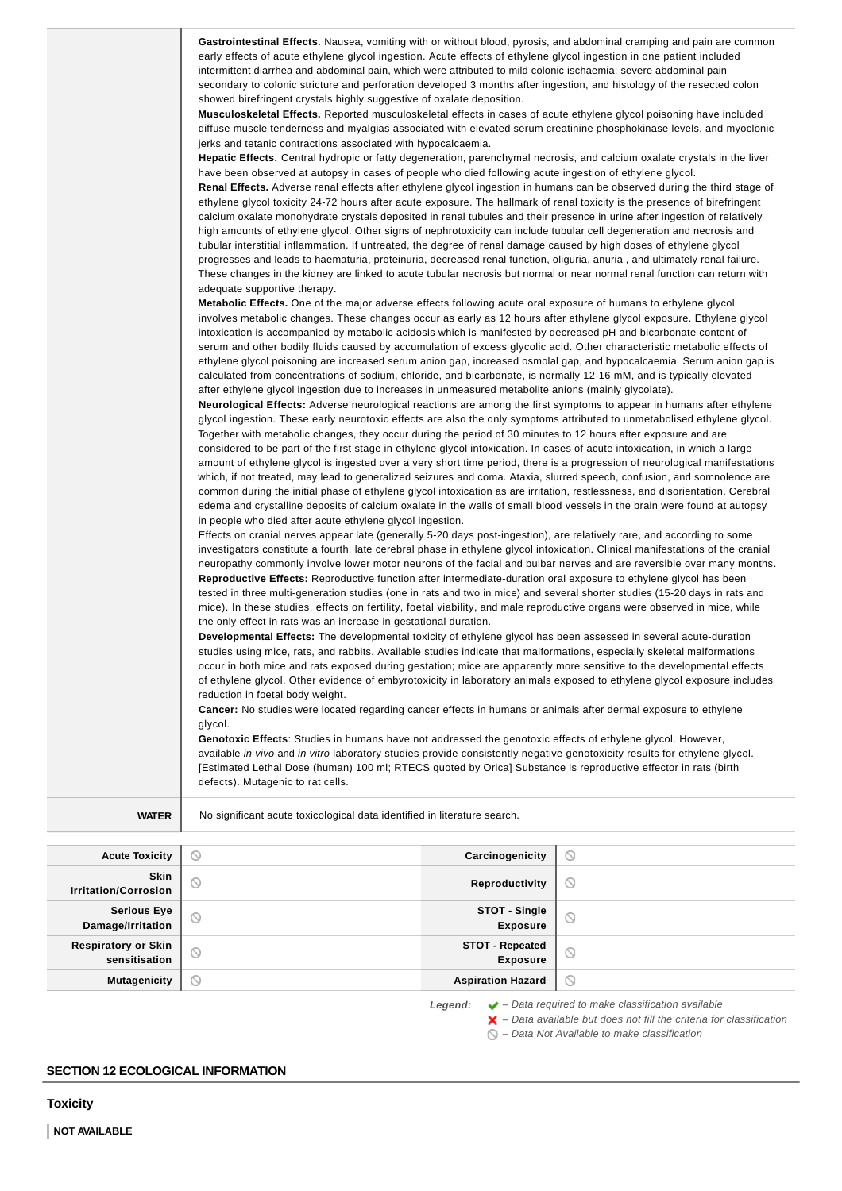|                       | Gastrointestinal Effects. Nausea, vomiting with or without blood, pyrosis, and abdominal cramping and pain are common<br>early effects of acute ethylene glycol ingestion. Acute effects of ethylene glycol ingestion in one patient included<br>intermittent diarrhea and abdominal pain, which were attributed to mild colonic ischaemia; severe abdominal pain<br>secondary to colonic stricture and perforation developed 3 months after ingestion, and histology of the resected colon<br>showed birefringent crystals highly suggestive of oxalate deposition.<br>Musculoskeletal Effects. Reported musculoskeletal effects in cases of acute ethylene glycol poisoning have included<br>diffuse muscle tenderness and myalgias associated with elevated serum creatinine phosphokinase levels, and myoclonic<br>jerks and tetanic contractions associated with hypocalcaemia.<br><b>Hepatic Effects.</b> Central hydropic or fatty degeneration, parenchymal necrosis, and calcium oxalate crystals in the liver<br>have been observed at autopsy in cases of people who died following acute ingestion of ethylene glycol.<br>Renal Effects. Adverse renal effects after ethylene glycol ingestion in humans can be observed during the third stage of<br>ethylene glycol toxicity 24-72 hours after acute exposure. The hallmark of renal toxicity is the presence of birefringent<br>calcium oxalate monohydrate crystals deposited in renal tubules and their presence in urine after ingestion of relatively<br>high amounts of ethylene glycol. Other signs of nephrotoxicity can include tubular cell degeneration and necrosis and<br>tubular interstitial inflammation. If untreated, the degree of renal damage caused by high doses of ethylene glycol<br>progresses and leads to haematuria, proteinuria, decreased renal function, oliguria, anuria, and ultimately renal failure.<br>These changes in the kidney are linked to acute tubular necrosis but normal or near normal renal function can return with<br>adequate supportive therapy.<br>Metabolic Effects. One of the major adverse effects following acute oral exposure of humans to ethylene glycol<br>involves metabolic changes. These changes occur as early as 12 hours after ethylene glycol exposure. Ethylene glycol<br>intoxication is accompanied by metabolic acidosis which is manifested by decreased pH and bicarbonate content of<br>serum and other bodily fluids caused by accumulation of excess glycolic acid. Other characteristic metabolic effects of<br>ethylene glycol poisoning are increased serum anion gap, increased osmolal gap, and hypocalcaemia. Serum anion gap is<br>calculated from concentrations of sodium, chloride, and bicarbonate, is normally 12-16 mM, and is typically elevated<br>after ethylene glycol ingestion due to increases in unmeasured metabolite anions (mainly glycolate).<br>Neurological Effects: Adverse neurological reactions are among the first symptoms to appear in humans after ethylene<br>glycol ingestion. These early neurotoxic effects are also the only symptoms attributed to unmetabolised ethylene glycol.<br>Together with metabolic changes, they occur during the period of 30 minutes to 12 hours after exposure and are<br>considered to be part of the first stage in ethylene glycol intoxication. In cases of acute intoxication, in which a large<br>amount of ethylene glycol is ingested over a very short time period, there is a progression of neurological manifestations<br>which, if not treated, may lead to generalized seizures and coma. Ataxia, slurred speech, confusion, and somnolence are<br>common during the initial phase of ethylene glycol intoxication as are irritation, restlessness, and disorientation. Cerebral<br>edema and crystalline deposits of calcium oxalate in the walls of small blood vessels in the brain were found at autopsy<br>in people who died after acute ethylene glycol ingestion.<br>Effects on cranial nerves appear late (generally 5-20 days post-ingestion), are relatively rare, and according to some<br>investigators constitute a fourth, late cerebral phase in ethylene glycol intoxication. Clinical manifestations of the cranial<br>neuropathy commonly involve lower motor neurons of the facial and bulbar nerves and are reversible over many months.<br>Reproductive Effects: Reproductive function after intermediate-duration oral exposure to ethylene glycol has been<br>tested in three multi-generation studies (one in rats and two in mice) and several shorter studies (15-20 days in rats and<br>mice). In these studies, effects on fertility, foetal viability, and male reproductive organs were observed in mice, while<br>the only effect in rats was an increase in gestational duration.<br>Developmental Effects: The developmental toxicity of ethylene glycol has been assessed in several acute-duration<br>studies using mice, rats, and rabbits. Available studies indicate that malformations, especially skeletal malformations<br>occur in both mice and rats exposed during gestation; mice are apparently more sensitive to the developmental effects<br>of ethylene glycol. Other evidence of embyrotoxicity in laboratory animals exposed to ethylene glycol exposure includes<br>reduction in foetal body weight.<br><b>Cancer:</b> No studies were located regarding cancer effects in humans or animals after dermal exposure to ethylene<br>glycol.<br>Genotoxic Effects: Studies in humans have not addressed the genotoxic effects of ethylene glycol. However,<br>available in vivo and in vitro laboratory studies provide consistently negative genotoxicity results for ethylene glycol.<br>[Estimated Lethal Dose (human) 100 ml; RTECS quoted by Orica] Substance is reproductive effector in rats (birth<br>defects). Mutagenic to rat cells. |                 |   |
|-----------------------|--------------------------------------------------------------------------------------------------------------------------------------------------------------------------------------------------------------------------------------------------------------------------------------------------------------------------------------------------------------------------------------------------------------------------------------------------------------------------------------------------------------------------------------------------------------------------------------------------------------------------------------------------------------------------------------------------------------------------------------------------------------------------------------------------------------------------------------------------------------------------------------------------------------------------------------------------------------------------------------------------------------------------------------------------------------------------------------------------------------------------------------------------------------------------------------------------------------------------------------------------------------------------------------------------------------------------------------------------------------------------------------------------------------------------------------------------------------------------------------------------------------------------------------------------------------------------------------------------------------------------------------------------------------------------------------------------------------------------------------------------------------------------------------------------------------------------------------------------------------------------------------------------------------------------------------------------------------------------------------------------------------------------------------------------------------------------------------------------------------------------------------------------------------------------------------------------------------------------------------------------------------------------------------------------------------------------------------------------------------------------------------------------------------------------------------------------------------------------------------------------------------------------------------------------------------------------------------------------------------------------------------------------------------------------------------------------------------------------------------------------------------------------------------------------------------------------------------------------------------------------------------------------------------------------------------------------------------------------------------------------------------------------------------------------------------------------------------------------------------------------------------------------------------------------------------------------------------------------------------------------------------------------------------------------------------------------------------------------------------------------------------------------------------------------------------------------------------------------------------------------------------------------------------------------------------------------------------------------------------------------------------------------------------------------------------------------------------------------------------------------------------------------------------------------------------------------------------------------------------------------------------------------------------------------------------------------------------------------------------------------------------------------------------------------------------------------------------------------------------------------------------------------------------------------------------------------------------------------------------------------------------------------------------------------------------------------------------------------------------------------------------------------------------------------------------------------------------------------------------------------------------------------------------------------------------------------------------------------------------------------------------------------------------------------------------------------------------------------------------------------------------------------------------------------------------------------------------------------------------------------------------------------------------------------------------------------------------------------------------------------------------------------------------------------------------------------------------------------------------------------------------------------------------------------------------------------------------------------------------------------------------------------------------------------------------------------------------------------------------------------------------------------------------------------------------------------------------------------------------------------------------------------------------------------------------------------------------------------------------------------------------------------------------------------------------------------------------------------------------------------------------------------------------------------------------------------------------------------------------------------------------------------------------------------------------|-----------------|---|
|                       |                                                                                                                                                                                                                                                                                                                                                                                                                                                                                                                                                                                                                                                                                                                                                                                                                                                                                                                                                                                                                                                                                                                                                                                                                                                                                                                                                                                                                                                                                                                                                                                                                                                                                                                                                                                                                                                                                                                                                                                                                                                                                                                                                                                                                                                                                                                                                                                                                                                                                                                                                                                                                                                                                                                                                                                                                                                                                                                                                                                                                                                                                                                                                                                                                                                                                                                                                                                                                                                                                                                                                                                                                                                                                                                                                                                                                                                                                                                                                                                                                                                                                                                                                                                                                                                                                                                                                                                                                                                                                                                                                                                                                                                                                                                                                                                                                                                                                                                                                                                                                                                                                                                                                                                                                                                                                                                                                                                                                                                                                                                                                                                                                                                                                                                                                                                                                                                                                                                                      |                 |   |
| <b>WATER</b>          | No significant acute toxicological data identified in literature search.                                                                                                                                                                                                                                                                                                                                                                                                                                                                                                                                                                                                                                                                                                                                                                                                                                                                                                                                                                                                                                                                                                                                                                                                                                                                                                                                                                                                                                                                                                                                                                                                                                                                                                                                                                                                                                                                                                                                                                                                                                                                                                                                                                                                                                                                                                                                                                                                                                                                                                                                                                                                                                                                                                                                                                                                                                                                                                                                                                                                                                                                                                                                                                                                                                                                                                                                                                                                                                                                                                                                                                                                                                                                                                                                                                                                                                                                                                                                                                                                                                                                                                                                                                                                                                                                                                                                                                                                                                                                                                                                                                                                                                                                                                                                                                                                                                                                                                                                                                                                                                                                                                                                                                                                                                                                                                                                                                                                                                                                                                                                                                                                                                                                                                                                                                                                                                                             |                 |   |
| <b>Acute Toxicity</b> | $\circ$                                                                                                                                                                                                                                                                                                                                                                                                                                                                                                                                                                                                                                                                                                                                                                                                                                                                                                                                                                                                                                                                                                                                                                                                                                                                                                                                                                                                                                                                                                                                                                                                                                                                                                                                                                                                                                                                                                                                                                                                                                                                                                                                                                                                                                                                                                                                                                                                                                                                                                                                                                                                                                                                                                                                                                                                                                                                                                                                                                                                                                                                                                                                                                                                                                                                                                                                                                                                                                                                                                                                                                                                                                                                                                                                                                                                                                                                                                                                                                                                                                                                                                                                                                                                                                                                                                                                                                                                                                                                                                                                                                                                                                                                                                                                                                                                                                                                                                                                                                                                                                                                                                                                                                                                                                                                                                                                                                                                                                                                                                                                                                                                                                                                                                                                                                                                                                                                                                                              | Carcinogenicity | O |
|                       |                                                                                                                                                                                                                                                                                                                                                                                                                                                                                                                                                                                                                                                                                                                                                                                                                                                                                                                                                                                                                                                                                                                                                                                                                                                                                                                                                                                                                                                                                                                                                                                                                                                                                                                                                                                                                                                                                                                                                                                                                                                                                                                                                                                                                                                                                                                                                                                                                                                                                                                                                                                                                                                                                                                                                                                                                                                                                                                                                                                                                                                                                                                                                                                                                                                                                                                                                                                                                                                                                                                                                                                                                                                                                                                                                                                                                                                                                                                                                                                                                                                                                                                                                                                                                                                                                                                                                                                                                                                                                                                                                                                                                                                                                                                                                                                                                                                                                                                                                                                                                                                                                                                                                                                                                                                                                                                                                                                                                                                                                                                                                                                                                                                                                                                                                                                                                                                                                                                                      |                 |   |

 $\overline{\phantom{0}}$ **Skin I**rritation/Corrosion **Reproductivity**  $\circledcirc$ **Serious Eye STOT - Single**  $\odot$  $\circlearrowright$ **Damage/Irritation Exposure Respiratory or Skin STOT - Repeated**  $\circledcirc$  $\circ$ **sensitisation Exposure Mutagenicity Aspiration Hazard**  $\odot$ 

**Legend:** ◆ - Data required to make classification available – Data available but does not fill the criteria for classification

 $\bigcirc$  – Data Not Available to make classification

# **SECTION 12 ECOLOGICAL INFORMATION**

**Toxicity**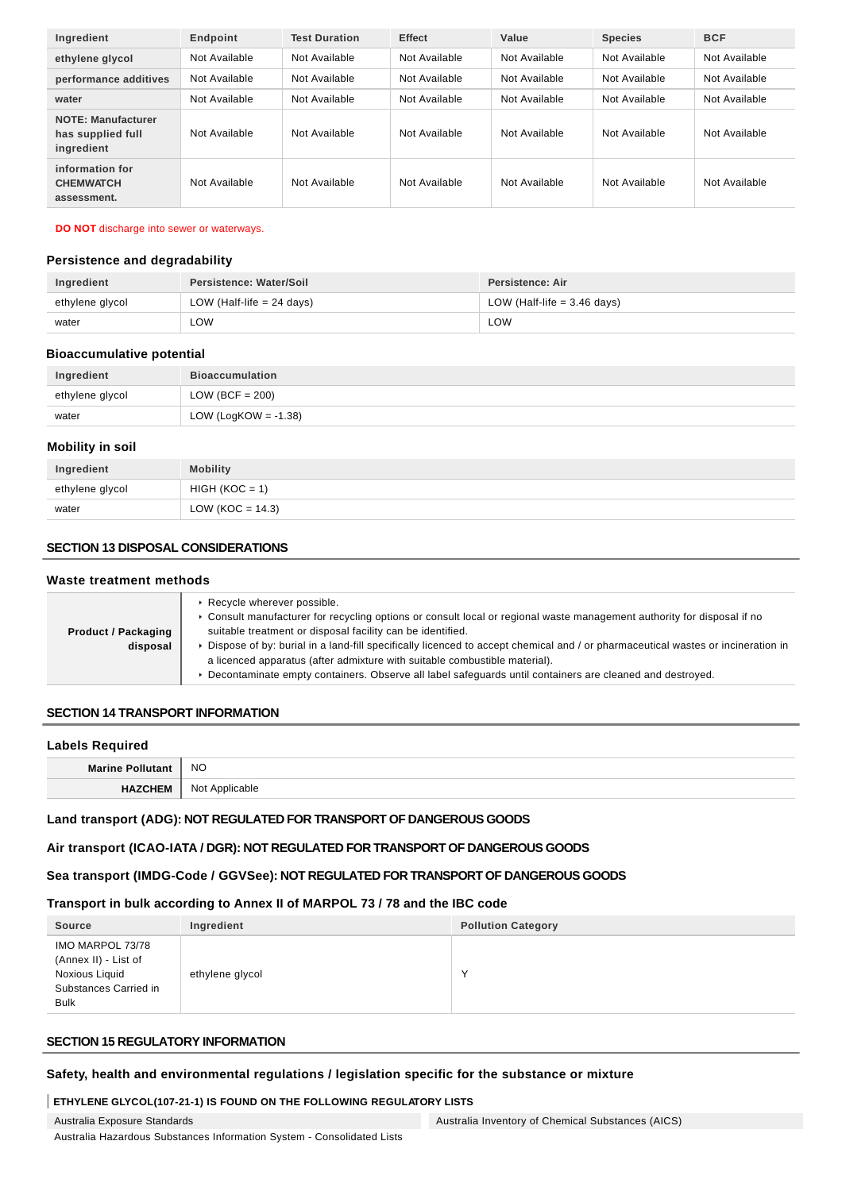| Ingredient                                                   | Endpoint      | <b>Test Duration</b> | <b>Effect</b> | Value         | <b>Species</b> | <b>BCF</b>    |
|--------------------------------------------------------------|---------------|----------------------|---------------|---------------|----------------|---------------|
| ethylene glycol                                              | Not Available | Not Available        | Not Available | Not Available | Not Available  | Not Available |
| performance additives                                        | Not Available | Not Available        | Not Available | Not Available | Not Available  | Not Available |
| water                                                        | Not Available | Not Available        | Not Available | Not Available | Not Available  | Not Available |
| <b>NOTE: Manufacturer</b><br>has supplied full<br>ingredient | Not Available | Not Available        | Not Available | Not Available | Not Available  | Not Available |
| information for<br><b>CHEMWATCH</b><br>assessment.           | Not Available | Not Available        | Not Available | Not Available | Not Available  | Not Available |

#### **DO NOT** discharge into sewer or waterways.

#### **Persistence and degradability**

| Ingredient      | Persistence: Water/Soil     | Persistence: Air              |
|-----------------|-----------------------------|-------------------------------|
| ethylene glycol | LOW (Half-life $= 24$ days) | LOW (Half-life $=$ 3.46 days) |
| water           | LOW.                        | LOW                           |

#### **Bioaccumulative potential**

| Ingredient      | <b>Bioaccumulation</b> |
|-----------------|------------------------|
| ethylene glycol | LOW (BCF = $200$ )     |
| water           | LOW (LogKOW = -1.38)   |

#### **Mobility in soil**

| Ingredient      | <b>Mobility</b>      |
|-----------------|----------------------|
| ethylene glycol | $HIGH (KOC = 1)$     |
| water           | LOW ( $KOC = 14.3$ ) |

## **SECTION 13 DISPOSAL CONSIDERATIONS**

#### **Waste treatment methods**

|                            | Recycle wherever possible.<br>▶ Consult manufacturer for recycling options or consult local or regional waste management authority for disposal if no |
|----------------------------|-------------------------------------------------------------------------------------------------------------------------------------------------------|
| <b>Product / Packaging</b> | suitable treatment or disposal facility can be identified.                                                                                            |
| disposal                   | ▶ Dispose of by: burial in a land-fill specifically licenced to accept chemical and / or pharmaceutical wastes or incineration in                     |
|                            | a licenced apparatus (after admixture with suitable combustible material).                                                                            |
|                            | ▶ Decontaminate empty containers. Observe all label safeguards until containers are cleaned and destroyed.                                            |
|                            |                                                                                                                                                       |

## **SECTION 14 TRANSPORT INFORMATION**

#### **Labels Required**

| <b>Marine</b> | <b>NO</b>         |
|---------------|-------------------|
|               | Not<br>Applicable |

#### **Land transport (ADG): NOT REGULATED FOR TRANSPORT OF DANGEROUS GOODS**

## **Air transport (ICAO-IATA / DGR): NOT REGULATED FOR TRANSPORT OF DANGEROUS GOODS**

## **Sea transport (IMDG-Code / GGVSee): NOT REGULATED FOR TRANSPORT OF DANGEROUS GOODS**

## **Transport in bulk according to Annex II of MARPOL 73 / 78 and the IBC code**

| <b>Source</b>                                                                                      | Ingredient      | <b>Pollution Category</b> |
|----------------------------------------------------------------------------------------------------|-----------------|---------------------------|
| IMO MARPOL 73/78<br>(Annex II) - List of<br>Noxious Liquid<br>Substances Carried in<br><b>Bulk</b> | ethylene glycol | $\checkmark$              |

#### **SECTION 15 REGULATORY INFORMATION**

## **Safety, health and environmental regulations / legislation specific for the substance or mixture**

#### **ETHYLENE GLYCOL(107-21-1) IS FOUND ON THE FOLLOWING REGULATORY LISTS**